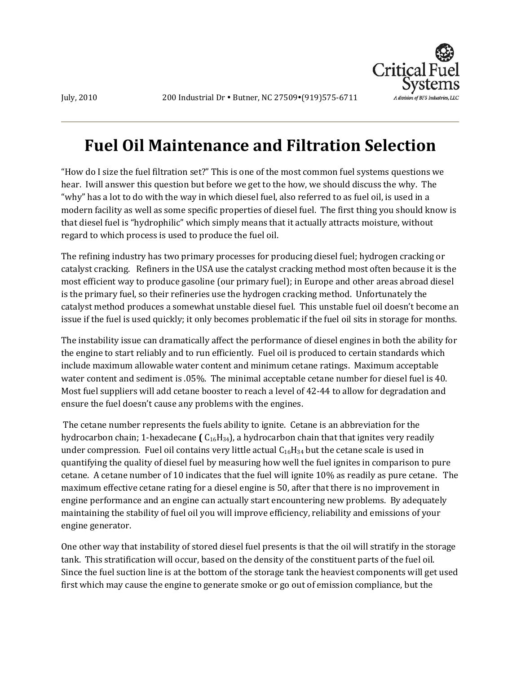

# **Fuel Oil Maintenance and Filtration Selection**

"How do I size the fuel filtration set?" This is one of the most common fuel systems questions we hear. Iwill answer this question but before we get to the how, we should discuss the why. The "why" has a lot to do with the way in which diesel fuel, also referred to as fuel oil, is used in a modern facility as well as some specific properties of diesel fuel. The first thing you should know is that diesel fuel is "hydrophilic" which simply means that it actually attracts moisture, without regard to which process is used to produce the fuel oil.

The refining industry has two primary processes for producing diesel fuel; hydrogen cracking or catalyst cracking. Refiners in the USA use the catalyst cracking method most often because it is the most efficient way to produce gasoline (our primary fuel); in Europe and other areas abroad diesel is the primary fuel, so their refineries use the hydrogen cracking method. Unfortunately the catalyst method produces a somewhat unstable diesel fuel. This unstable fuel oil doesn't become an issue if the fuel is used quickly; it only becomes problematic if the fuel oil sits in storage for months.

The instability issue can dramatically affect the performance of diesel engines in both the ability for the engine to start reliably and to run efficiently. Fuel oil is produced to certain standards which include maximum allowable water content and minimum cetane ratings. Maximum acceptable water content and sediment is .05%. The minimal acceptable cetane number for diesel fuel is 40. Most fuel suppliers will add cetane booster to reach a level of 42-44 to allow for degradation and ensure the fuel doesn't cause any problems with the engines.

The cetane number represents the fuels ability to ignite. Cetane is an abbreviation for the hydrocarbon chain; 1-hexadecane **(** C16H34), a hydrocarbon chain that that ignites very readily under compression. Fuel oil contains very little actual  $C_{16}H_{34}$  but the cetane scale is used in quantifying the quality of diesel fuel by measuring how well the fuel ignites in comparison to pure cetane. A cetane number of 10 indicates that the fuel will ignite 10% as readily as pure cetane. The maximum effective cetane rating for a diesel engine is 50, after that there is no improvement in engine performance and an engine can actually start encountering new problems. By adequately maintaining the stability of fuel oil you will improve efficiency, reliability and emissions of your engine generator.

One other way that instability of stored diesel fuel presents is that the oil will stratify in the storage tank. This stratification will occur, based on the density of the constituent parts of the fuel oil. Since the fuel suction line is at the bottom of the storage tank the heaviest components will get used first which may cause the engine to generate smoke or go out of emission compliance, but the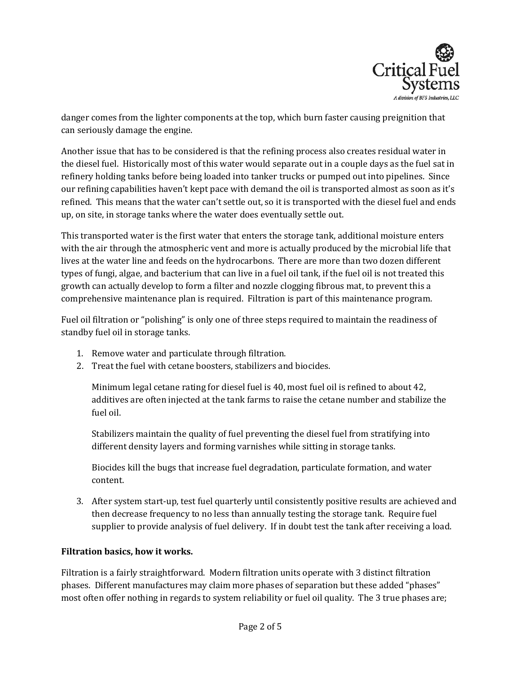

danger comes from the lighter components at the top, which burn faster causing preignition that can seriously damage the engine.

Another issue that has to be considered is that the refining process also creates residual water in the diesel fuel. Historically most of this water would separate out in a couple days as the fuel sat in refinery holding tanks before being loaded into tanker trucks or pumped out into pipelines. Since our refining capabilities haven't kept pace with demand the oil is transported almost as soon as it's refined. This means that the water can't settle out, so it is transported with the diesel fuel and ends up, on site, in storage tanks where the water does eventually settle out.

This transported water is the first water that enters the storage tank, additional moisture enters with the air through the atmospheric vent and more is actually produced by the microbial life that lives at the water line and feeds on the hydrocarbons. There are more than two dozen different types of fungi, algae, and bacterium that can live in a fuel oil tank, if the fuel oil is not treated this growth can actually develop to form a filter and nozzle clogging fibrous mat, to prevent this a comprehensive maintenance plan is required. Filtration is part of this maintenance program.

Fuel oil filtration or "polishing" is only one of three steps required to maintain the readiness of standby fuel oil in storage tanks.

- 1. Remove water and particulate through filtration.
- 2. Treat the fuel with cetane boosters, stabilizers and biocides.

Minimum legal cetane rating for diesel fuel is 40, most fuel oil is refined to about 42, additives are often injected at the tank farms to raise the cetane number and stabilize the fuel oil.

Stabilizers maintain the quality of fuel preventing the diesel fuel from stratifying into different density layers and forming varnishes while sitting in storage tanks.

Biocides kill the bugs that increase fuel degradation, particulate formation, and water content.

3. After system start-up, test fuel quarterly until consistently positive results are achieved and then decrease frequency to no less than annually testing the storage tank. Require fuel supplier to provide analysis of fuel delivery. If in doubt test the tank after receiving a load.

#### **Filtration basics, how it works.**

Filtration is a fairly straightforward. Modern filtration units operate with 3 distinct filtration phases. Different manufactures may claim more phases of separation but these added "phases" most often offer nothing in regards to system reliability or fuel oil quality. The 3 true phases are;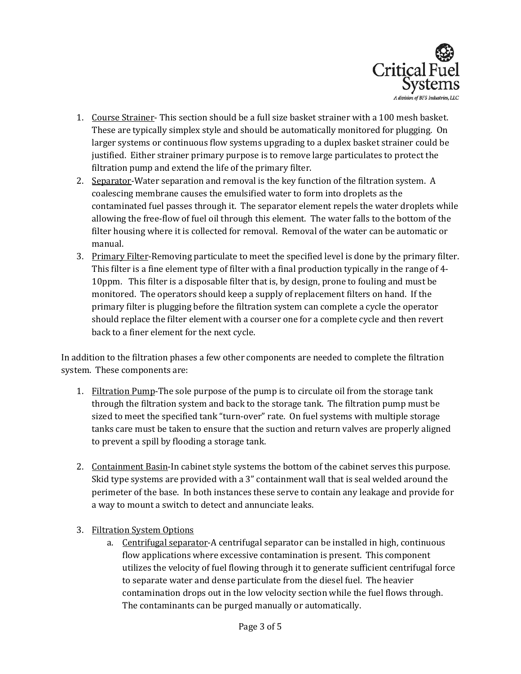

- 1. Course Strainer- This section should be a full size basket strainer with a 100 mesh basket. These are typically simplex style and should be automatically monitored for plugging. On larger systems or continuous flow systems upgrading to a duplex basket strainer could be justified. Either strainer primary purpose is to remove large particulates to protect the filtration pump and extend the life of the primary filter.
- 2. Separator-Water separation and removal is the key function of the filtration system. A coalescing membrane causes the emulsified water to form into droplets as the contaminated fuel passes through it. The separator element repels the water droplets while allowing the free-flow of fuel oil through this element. The water falls to the bottom of the filter housing where it is collected for removal. Removal of the water can be automatic or manual.
- 3. Primary Filter-Removing particulate to meet the specified level is done by the primary filter. This filter is a fine element type of filter with a final production typically in the range of 4- 10ppm. This filter is a disposable filter that is, by design, prone to fouling and must be monitored. The operators should keep a supply of replacement filters on hand. If the primary filter is plugging before the filtration system can complete a cycle the operator should replace the filter element with a courser one for a complete cycle and then revert back to a finer element for the next cycle.

In addition to the filtration phases a few other components are needed to complete the filtration system. These components are:

- 1. Filtration Pump-The sole purpose of the pump is to circulate oil from the storage tank through the filtration system and back to the storage tank. The filtration pump must be sized to meet the specified tank "turn-over" rate. On fuel systems with multiple storage tanks care must be taken to ensure that the suction and return valves are properly aligned to prevent a spill by flooding a storage tank.
- 2. Containment Basin-In cabinet style systems the bottom of the cabinet serves this purpose. Skid type systems are provided with a 3" containment wall that is seal welded around the perimeter of the base. In both instances these serve to contain any leakage and provide for a way to mount a switch to detect and annunciate leaks.
- 3. Filtration System Options
	- a. Centrifugal separator-A centrifugal separator can be installed in high, continuous flow applications where excessive contamination is present. This component utilizes the velocity of fuel flowing through it to generate sufficient centrifugal force to separate water and dense particulate from the diesel fuel. The heavier contamination drops out in the low velocity section while the fuel flows through. The contaminants can be purged manually or automatically.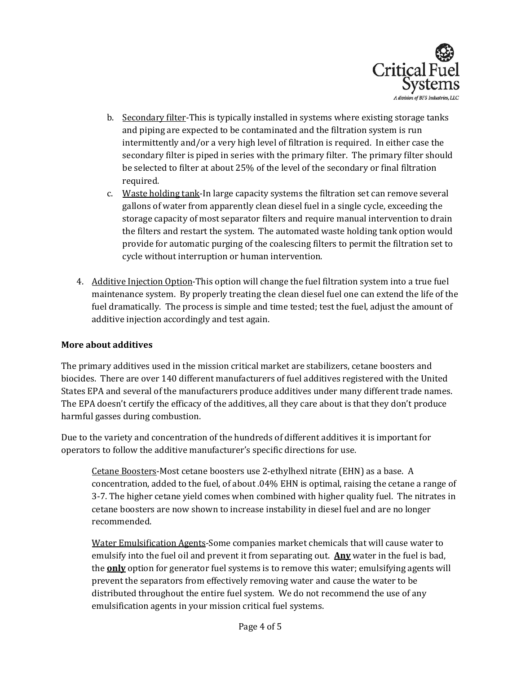

- b. Secondary filter-This is typically installed in systems where existing storage tanks and piping are expected to be contaminated and the filtration system is run intermittently and/or a very high level of filtration is required. In either case the secondary filter is piped in series with the primary filter. The primary filter should be selected to filter at about 25% of the level of the secondary or final filtration required.
- c. Waste holding tank-In large capacity systems the filtration set can remove several gallons of water from apparently clean diesel fuel in a single cycle, exceeding the storage capacity of most separator filters and require manual intervention to drain the filters and restart the system. The automated waste holding tank option would provide for automatic purging of the coalescing filters to permit the filtration set to cycle without interruption or human intervention.
- 4. Additive Injection Option-This option will change the fuel filtration system into a true fuel maintenance system. By properly treating the clean diesel fuel one can extend the life of the fuel dramatically. The process is simple and time tested; test the fuel, adjust the amount of additive injection accordingly and test again.

#### **More about additives**

The primary additives used in the mission critical market are stabilizers, cetane boosters and biocides. There are over 140 different manufacturers of fuel additives registered with the United States EPA and several of the manufacturers produce additives under many different trade names. The EPA doesn't certify the efficacy of the additives, all they care about is that they don't produce harmful gasses during combustion.

Due to the variety and concentration of the hundreds of different additives it is important for operators to follow the additive manufacturer's specific directions for use.

Cetane Boosters-Most cetane boosters use 2-ethylhexl nitrate (EHN) as a base. A concentration, added to the fuel, of about .04% EHN is optimal, raising the cetane a range of 3-7. The higher cetane yield comes when combined with higher quality fuel. The nitrates in cetane boosters are now shown to increase instability in diesel fuel and are no longer recommended.

Water Emulsification Agents-Some companies market chemicals that will cause water to emulsify into the fuel oil and prevent it from separating out. **Any** water in the fuel is bad, the **only** option for generator fuel systems is to remove this water; emulsifying agents will prevent the separators from effectively removing water and cause the water to be distributed throughout the entire fuel system. We do not recommend the use of any emulsification agents in your mission critical fuel systems.